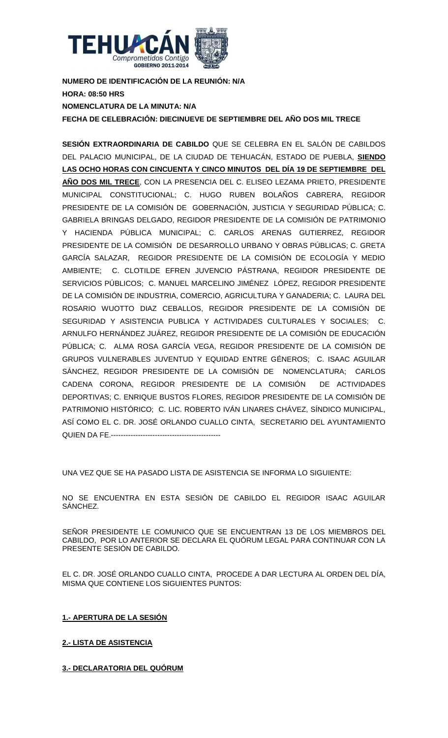

**NUMERO DE IDENTIFICACIÓN DE LA REUNIÓN: N/A HORA: 08:50 HRS NOMENCLATURA DE LA MINUTA: N/A FECHA DE CELEBRACIÓN: DIECINUEVE DE SEPTIEMBRE DEL AÑO DOS MIL TRECE**

**SESIÓN EXTRAORDINARIA DE CABILDO** QUE SE CELEBRA EN EL SALÓN DE CABILDOS DEL PALACIO MUNICIPAL, DE LA CIUDAD DE TEHUACÁN, ESTADO DE PUEBLA, **SIENDO LAS OCHO HORAS CON CINCUENTA Y CINCO MINUTOS DEL DÍA 19 DE SEPTIEMBRE DEL AÑO DOS MIL TRECE**, CON LA PRESENCIA DEL C. ELISEO LEZAMA PRIETO, PRESIDENTE MUNICIPAL CONSTITUCIONAL; C. HUGO RUBEN BOLAÑOS CABRERA, REGIDOR PRESIDENTE DE LA COMISIÓN DE GOBERNACIÓN, JUSTICIA Y SEGURIDAD PÚBLICA; C. GABRIELA BRINGAS DELGADO, REGIDOR PRESIDENTE DE LA COMISIÓN DE PATRIMONIO Y HACIENDA PÚBLICA MUNICIPAL; C. CARLOS ARENAS GUTIERREZ, REGIDOR PRESIDENTE DE LA COMISIÓN DE DESARROLLO URBANO Y OBRAS PÚBLICAS; C. GRETA GARCÍA SALAZAR, REGIDOR PRESIDENTE DE LA COMISIÓN DE ECOLOGÍA Y MEDIO AMBIENTE; C. CLOTILDE EFREN JUVENCIO PÁSTRANA, REGIDOR PRESIDENTE DE SERVICIOS PÚBLICOS; C. MANUEL MARCELINO JIMÉNEZ LÓPEZ, REGIDOR PRESIDENTE DE LA COMISIÓN DE INDUSTRIA, COMERCIO, AGRICULTURA Y GANADERIA; C. LAURA DEL ROSARIO WUOTTO DIAZ CEBALLOS, REGIDOR PRESIDENTE DE LA COMISIÓN DE SEGURIDAD Y ASISTENCIA PUBLICA Y ACTIVIDADES CULTURALES Y SOCIALES; C. ARNULFO HERNÁNDEZ JUÁREZ, REGIDOR PRESIDENTE DE LA COMISIÓN DE EDUCACIÓN PÚBLICA; C. ALMA ROSA GARCÍA VEGA, REGIDOR PRESIDENTE DE LA COMISIÓN DE GRUPOS VULNERABLES JUVENTUD Y EQUIDAD ENTRE GÉNEROS; C. ISAAC AGUILAR SÁNCHEZ, REGIDOR PRESIDENTE DE LA COMISIÓN DE NOMENCLATURA; CARLOS CADENA CORONA, REGIDOR PRESIDENTE DE LA COMISIÓN DE ACTIVIDADES DEPORTIVAS; C. ENRIQUE BUSTOS FLORES, REGIDOR PRESIDENTE DE LA COMISIÓN DE PATRIMONIO HISTÓRICO; C. LIC. ROBERTO IVÁN LINARES CHÁVEZ, SÍNDICO MUNICIPAL, ASÍ COMO EL C. DR. JOSÉ ORLANDO CUALLO CINTA, SECRETARIO DEL AYUNTAMIENTO QUIEN DA FE.---------------------------------------------

UNA VEZ QUE SE HA PASADO LISTA DE ASISTENCIA SE INFORMA LO SIGUIENTE:

NO SE ENCUENTRA EN ESTA SESIÓN DE CABILDO EL REGIDOR ISAAC AGUILAR SÁNCHEZ.

SEÑOR PRESIDENTE LE COMUNICO QUE SE ENCUENTRAN 13 DE LOS MIEMBROS DEL CABILDO, POR LO ANTERIOR SE DECLARA EL QUÓRUM LEGAL PARA CONTINUAR CON LA PRESENTE SESIÓN DE CABILDO.

EL C. DR. JOSÉ ORLANDO CUALLO CINTA, PROCEDE A DAR LECTURA AL ORDEN DEL DÍA, MISMA QUE CONTIENE LOS SIGUIENTES PUNTOS:

**1.- APERTURA DE LA SESIÓN**

**2.- LISTA DE ASISTENCIA**

**3.- DECLARATORIA DEL QUÓRUM**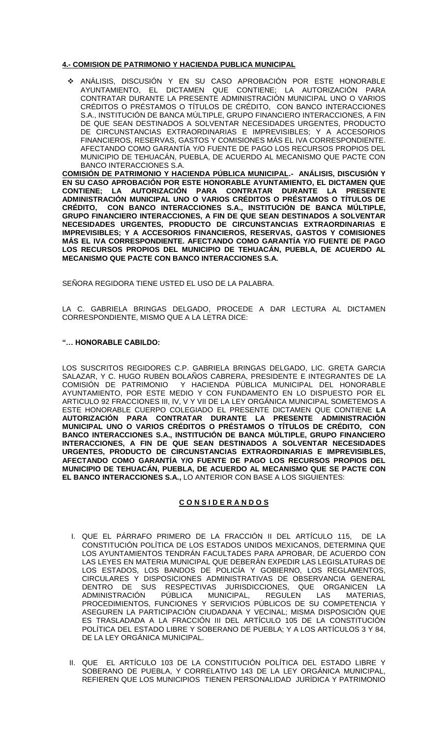## **4.- COMISION DE PATRIMONIO Y HACIENDA PUBLICA MUNICIPAL**

 ANÁLISIS, DISCUSIÓN Y EN SU CASO APROBACIÓN POR ESTE HONORABLE AYUNTAMIENTO, EL DICTAMEN QUE CONTIENE; LA AUTORIZACIÓN PARA CONTRATAR DURANTE LA PRESENTE ADMINISTRACIÓN MUNICIPAL UNO O VARIOS CRÉDITOS O PRÉSTAMOS O TÍTULOS DE CRÉDITO, CON BANCO INTERACCIONES S.A., INSTITUCIÓN DE BANCA MÚLTIPLE, GRUPO FINANCIERO INTERACCIONES, A FIN DE QUE SEAN DESTINADOS A SOLVENTAR NECESIDADES URGENTES, PRODUCTO DE CIRCUNSTANCIAS EXTRAORDINARIAS E IMPREVISIBLES; Y A ACCESORIOS FINANCIEROS, RESERVAS, GASTOS Y COMISIONES MÁS EL IVA CORRESPONDIENTE. AFECTANDO COMO GARANTÍA Y/O FUENTE DE PAGO LOS RECURSOS PROPIOS DEL MUNICIPIO DE TEHUACÁN, PUEBLA, DE ACUERDO AL MECANISMO QUE PACTE CON BANCO INTERACCIONES S.A.

**COMISIÓN DE PATRIMONIO Y HACIENDA PÚBLICA MUNICIPAL.- ANÁLISIS, DISCUSIÓN Y EN SU CASO APROBACIÓN POR ESTE HONORABLE AYUNTAMIENTO, EL DICTAMEN QUE CONTIENE; LA AUTORIZACIÓN PARA CONTRATAR DURANTE LA PRESENTE ADMINISTRACIÓN MUNICIPAL UNO O VARIOS CRÉDITOS O PRÉSTAMOS O TÍTULOS DE CRÉDITO, CON BANCO INTERACCIONES S.A., INSTITUCIÓN DE BANCA MÚLTIPLE, GRUPO FINANCIERO INTERACCIONES, A FIN DE QUE SEAN DESTINADOS A SOLVENTAR NECESIDADES URGENTES, PRODUCTO DE CIRCUNSTANCIAS EXTRAORDINARIAS E IMPREVISIBLES; Y A ACCESORIOS FINANCIEROS, RESERVAS, GASTOS Y COMISIONES MÁS EL IVA CORRESPONDIENTE. AFECTANDO COMO GARANTÍA Y/O FUENTE DE PAGO LOS RECURSOS PROPIOS DEL MUNICIPIO DE TEHUACÁN, PUEBLA, DE ACUERDO AL MECANISMO QUE PACTE CON BANCO INTERACCIONES S.A.**

SEÑORA REGIDORA TIENE USTED EL USO DE LA PALABRA.

LA C. GABRIELA BRINGAS DELGADO, PROCEDE A DAR LECTURA AL DICTAMEN CORRESPONDIENTE, MISMO QUE A LA LETRA DICE:

#### **"… HONORABLE CABILDO:**

LOS SUSCRITOS REGIDORES C.P. GABRIELA BRINGAS DELGADO, LIC. GRETA GARCIA SALAZAR, Y C. HUGO RUBEN BOLAÑOS CABRERA, PRESIDENTE E INTEGRANTES DE LA COMISIÓN DE PATRIMONIO Y HACIENDA PÚBLICA MUNICIPAL DEL HONORABLE Y HACIENDA PÚBLICA MUNICIPAL DEL HONORABLE AYUNTAMIENTO, POR ESTE MEDIO Y CON FUNDAMENTO EN LO DISPUESTO POR EL ARTICULO 92 FRACCIONES III, IV, V Y VII DE LA LEY ORGÁNICA MUNICIPAL SOMETEMOS A ESTE HONORABLE CUERPO COLEGIADO EL PRESENTE DICTAMEN QUE CONTIENE **LA AUTORIZACIÓN PARA CONTRATAR DURANTE LA PRESENTE ADMINISTRACIÓN MUNICIPAL UNO O VARIOS CRÉDITOS O PRÉSTAMOS O TÍTULOS DE CRÉDITO, CON BANCO INTERACCIONES S.A., INSTITUCIÓN DE BANCA MÚLTIPLE, GRUPO FINANCIERO INTERACCIONES, A FIN DE QUE SEAN DESTINADOS A SOLVENTAR NECESIDADES URGENTES, PRODUCTO DE CIRCUNSTANCIAS EXTRAORDINARIAS E IMPREVISIBLES, AFECTANDO COMO GARANTÍA Y/O FUENTE DE PAGO LOS RECURSOS PROPIOS DEL MUNICIPIO DE TEHUACÁN, PUEBLA, DE ACUERDO AL MECANISMO QUE SE PACTE CON EL BANCO INTERACCIONES S.A.,** LO ANTERIOR CON BASE A LOS SIGUIENTES:

## **C O N S I D E R A N D O S**

- I. QUE EL PÁRRAFO PRIMERO DE LA FRACCIÓN II DEL ARTÍCULO 115, DE LA CONSTITUCIÓN POLÍTICA DE LOS ESTADOS UNIDOS MEXICANOS, DETERMINA QUE LOS AYUNTAMIENTOS TENDRÁN FACULTADES PARA APROBAR, DE ACUERDO CON LAS LEYES EN MATERIA MUNICIPAL QUE DEBERÁN EXPEDIR LAS LEGISLATURAS DE LOS ESTADOS, LOS BANDOS DE POLICÍA Y GOBIERNO, LOS REGLAMENTOS, CIRCULARES Y DISPOSICIONES ADMINISTRATIVAS DE OBSERVANCIA GENERAL DENTRO DE SUS RESPECTIVAS JURISDICCIONES, QUE ORGANICEN LA ADMINISTRACIÓN PÚBLICA MUNICIPAL, REGULEN LAS MATERIAS, PROCEDIMIENTOS, FUNCIONES Y SERVICIOS PÚBLICOS DE SU COMPETENCIA Y ASEGUREN LA PARTICIPACIÓN CIUDADANA Y VECINAL; MISMA DISPOSICIÓN QUE ES TRASLADADA A LA FRACCIÓN III DEL ARTÍCULO 105 DE LA CONSTITUCIÓN POLÍTICA DEL ESTADO LIBRE Y SOBERANO DE PUEBLA; Y A LOS ARTÍCULOS 3 Y 84, DE LA LEY ORGÁNICA MUNICIPAL.
- II. QUE EL ARTÍCULO 103 DE LA CONSTITUCIÓN POLÍTICA DEL ESTADO LIBRE Y SOBERANO DE PUEBLA, Y CORRELATIVO 143 DE LA LEY ORGÁNICA MUNICIPAL, REFIEREN QUE LOS MUNICIPIOS TIENEN PERSONALIDAD JURÍDICA Y PATRIMONIO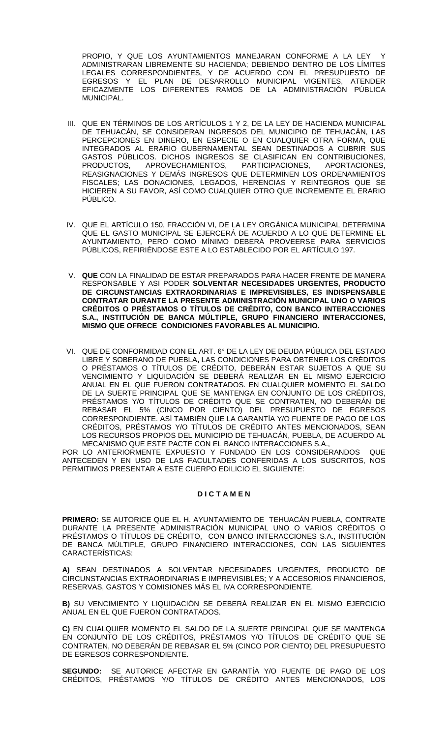PROPIO, Y QUE LOS AYUNTAMIENTOS MANEJARAN CONFORME A LA LEY ADMINISTRARAN LIBREMENTE SU HACIENDA; DEBIENDO DENTRO DE LOS LÍMITES LEGALES CORRESPONDIENTES, Y DE ACUERDO CON EL PRESUPUESTO DE EGRESOS Y EL PLAN DE DESARROLLO MUNICIPAL VIGENTES, ATENDER EFICAZMENTE LOS DIFERENTES RAMOS DE LA ADMINISTRACIÓN PÚBLICA MUNICIPAL.

- III. QUE EN TÉRMINOS DE LOS ARTÍCULOS 1 Y 2, DE LA LEY DE HACIENDA MUNICIPAL DE TEHUACÁN, SE CONSIDERAN INGRESOS DEL MUNICIPIO DE TEHUACÁN, LAS PERCEPCIONES EN DINERO, EN ESPECIE O EN CUALQUIER OTRA FORMA, QUE INTEGRADOS AL ERARIO GUBERNAMENTAL SEAN DESTINADOS A CUBRIR SUS GASTOS PÚBLICOS. DICHOS INGRESOS SE CLASIFICAN EN CONTRIBUCIONES, PRODUCTOS, APROVECHAMIENTOS, PARTICIPACIONES, APORTACIONES, REASIGNACIONES Y DEMÁS INGRESOS QUE DETERMINEN LOS ORDENAMIENTOS FISCALES; LAS DONACIONES, LEGADOS, HERENCIAS Y REINTEGROS QUE SE HICIEREN A SU FAVOR, ASÍ COMO CUALQUIER OTRO QUE INCREMENTE EL ERARIO PÚBLICO.
- IV. QUE EL ARTÍCULO 150, FRACCIÓN VI, DE LA LEY ORGÁNICA MUNICIPAL DETERMINA QUE EL GASTO MUNICIPAL SE EJERCERÁ DE ACUERDO A LO QUE DETERMINE EL AYUNTAMIENTO, PERO COMO MÍNIMO DEBERÁ PROVEERSE PARA SERVICIOS PÚBLICOS, REFIRIÉNDOSE ESTE A LO ESTABLECIDO POR EL ARTÍCULO 197.
- V. **QUE** CON LA FINALIDAD DE ESTAR PREPARADOS PARA HACER FRENTE DE MANERA RESPONSABLE Y ASI PODER **SOLVENTAR NECESIDADES URGENTES, PRODUCTO DE CIRCUNSTANCIAS EXTRAORDINARIAS E IMPREVISIBLES, ES INDISPENSABLE CONTRATAR DURANTE LA PRESENTE ADMINISTRACIÓN MUNICIPAL UNO O VARIOS CRÉDITOS O PRÉSTAMOS O TÍTULOS DE CRÉDITO, CON BANCO INTERACCIONES S.A., INSTITUCIÓN DE BANCA MÚLTIPLE, GRUPO FINANCIERO INTERACCIONES, MISMO QUE OFRECE CONDICIONES FAVORABLES AL MUNICIPIO.**
- VI. QUE DE CONFORMIDAD CON EL ART. 6° DE LA LEY DE DEUDA PÚBLICA DEL ESTADO LIBRE Y SOBERANO DE PUEBLA**,** LAS CONDICIONES PARA OBTENER LOS CRÉDITOS O PRÉSTAMOS O TÍTULOS DE CRÉDITO, DEBERÁN ESTAR SUJETOS A QUE SU VENCIMIENTO Y LIQUIDACIÓN SE DEBERÁ REALIZAR EN EL MISMO EJERCICIO ANUAL EN EL QUE FUERON CONTRATADOS. EN CUALQUIER MOMENTO EL SALDO DE LA SUERTE PRINCIPAL QUE SE MANTENGA EN CONJUNTO DE LOS CRÉDITOS, PRÉSTAMOS Y/O TÍTULOS DE CRÉDITO QUE SE CONTRATEN, NO DEBERÁN DE REBASAR EL 5% (CINCO POR CIENTO) DEL PRESUPUESTO DE EGRESOS CORRESPONDIENTE. ASÍ TAMBIÉN QUE LA GARANTÍA Y/O FUENTE DE PAGO DE LOS CRÉDITOS, PRÉSTAMOS Y/O TÍTULOS DE CRÉDITO ANTES MENCIONADOS, SEAN LOS RECURSOS PROPIOS DEL MUNICIPIO DE TEHUACÁN, PUEBLA, DE ACUERDO AL MECANISMO QUE ESTE PACTE CON EL BANCO INTERACCIONES S.A.,

POR LO ANTERIORMENTE EXPUESTO Y FUNDADO EN LOS CONSIDERANDOS QUE ANTECEDEN Y EN USO DE LAS FACULTADES CONFERIDAS A LOS SUSCRITOS, NOS PERMITIMOS PRESENTAR A ESTE CUERPO EDILICIO EL SIGUIENTE:

## **D I C T A M E N**

**PRIMERO:** SE AUTORICE QUE EL H. AYUNTAMIENTO DE TEHUACÁN PUEBLA, CONTRATE DURANTE LA PRESENTE ADMINISTRACIÓN MUNICIPAL UNO O VARIOS CRÉDITOS O PRÉSTAMOS O TÍTULOS DE CRÉDITO, CON BANCO INTERACCIONES S.A., INSTITUCIÓN DE BANCA MÚLTIPLE, GRUPO FINANCIERO INTERACCIONES, CON LAS SIGUIENTES CARACTERÍSTICAS:

**A)** SEAN DESTINADOS A SOLVENTAR NECESIDADES URGENTES, PRODUCTO DE CIRCUNSTANCIAS EXTRAORDINARIAS E IMPREVISIBLES; Y A ACCESORIOS FINANCIEROS, RESERVAS, GASTOS Y COMISIONES MÁS EL IVA CORRESPONDIENTE.

**B)** SU VENCIMIENTO Y LIQUIDACIÓN SE DEBERÁ REALIZAR EN EL MISMO EJERCICIO ANUAL EN EL QUE FUERON CONTRATADOS.

**C)** EN CUALQUIER MOMENTO EL SALDO DE LA SUERTE PRINCIPAL QUE SE MANTENGA EN CONJUNTO DE LOS CRÉDITOS, PRÉSTAMOS Y/O TÍTULOS DE CRÉDITO QUE SE CONTRATEN, NO DEBERÁN DE REBASAR EL 5% (CINCO POR CIENTO) DEL PRESUPUESTO DE EGRESOS CORRESPONDIENTE.

**SEGUNDO:** SE AUTORICE AFECTAR EN GARANTÍA Y/O FUENTE DE PAGO DE LOS CRÉDITOS, PRÉSTAMOS Y/O TÍTULOS DE CRÉDITO ANTES MENCIONADOS, LOS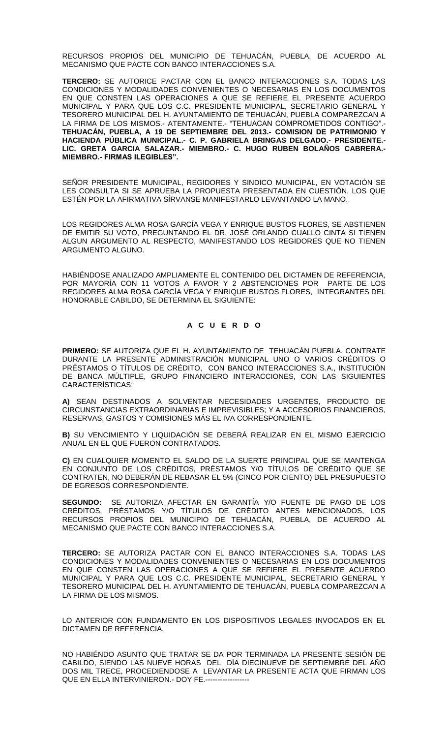RECURSOS PROPIOS DEL MUNICIPIO DE TEHUACÁN, PUEBLA, DE ACUERDO AL MECANISMO QUE PACTE CON BANCO INTERACCIONES S.A.

**TERCERO:** SE AUTORICE PACTAR CON EL BANCO INTERACCIONES S.A. TODAS LAS CONDICIONES Y MODALIDADES CONVENIENTES O NECESARIAS EN LOS DOCUMENTOS EN QUE CONSTEN LAS OPERACIONES A QUE SE REFIERE EL PRESENTE ACUERDO MUNICIPAL Y PARA QUE LOS C.C. PRESIDENTE MUNICIPAL, SECRETARIO GENERAL Y TESORERO MUNICIPAL DEL H. AYUNTAMIENTO DE TEHUACÁN, PUEBLA COMPAREZCAN A LA FIRMA DE LOS MISMOS.- ATENTAMENTE.- "TEHUACAN COMPROMETIDOS CONTIGO".- **TEHUACÁN, PUEBLA, A 19 DE SEPTIEMBRE DEL 2013.- COMISION DE PATRIMONIO Y HACIENDA PÚBLICA MUNICIPAL.- C. P. GABRIELA BRINGAS DELGADO.- PRESIDENTE.- LIC. GRETA GARCIA SALAZAR.- MIEMBRO.- C. HUGO RUBEN BOLAÑOS CABRERA.- MIEMBRO.- FIRMAS ILEGIBLES".**

SEÑOR PRESIDENTE MUNICIPAL, REGIDORES Y SINDICO MUNICIPAL, EN VOTACIÓN SE LES CONSULTA SI SE APRUEBA LA PROPUESTA PRESENTADA EN CUESTIÓN, LOS QUE ESTÉN POR LA AFIRMATIVA SÍRVANSE MANIFESTARLO LEVANTANDO LA MANO.

LOS REGIDORES ALMA ROSA GARCÍA VEGA Y ENRIQUE BUSTOS FLORES, SE ABSTIENEN DE EMITIR SU VOTO, PREGUNTANDO EL DR. JOSÉ ORLANDO CUALLO CINTA SI TIENEN ALGUN ARGUMENTO AL RESPECTO, MANIFESTANDO LOS REGIDORES QUE NO TIENEN ARGUMENTO ALGUNO.

HABIÉNDOSE ANALIZADO AMPLIAMENTE EL CONTENIDO DEL DICTAMEN DE REFERENCIA, POR MAYORÍA CON 11 VOTOS A FAVOR Y 2 ABSTENCIONES POR PARTE DE LOS REGIDORES ALMA ROSA GARCÍA VEGA Y ENRIQUE BUSTOS FLORES, INTEGRANTES DEL HONORABLE CABILDO, SE DETERMINA EL SIGUIENTE:

#### **A C U E R D O**

**PRIMERO:** SE AUTORIZA QUE EL H. AYUNTAMIENTO DE TEHUACÁN PUEBLA, CONTRATE DURANTE LA PRESENTE ADMINISTRACIÓN MUNICIPAL UNO O VARIOS CRÉDITOS O PRÉSTAMOS O TÍTULOS DE CRÉDITO, CON BANCO INTERACCIONES S.A., INSTITUCIÓN DE BANCA MÚLTIPLE, GRUPO FINANCIERO INTERACCIONES, CON LAS SIGUIENTES CARACTERÍSTICAS:

**A)** SEAN DESTINADOS A SOLVENTAR NECESIDADES URGENTES, PRODUCTO DE CIRCUNSTANCIAS EXTRAORDINARIAS E IMPREVISIBLES; Y A ACCESORIOS FINANCIEROS, RESERVAS, GASTOS Y COMISIONES MÁS EL IVA CORRESPONDIENTE.

**B)** SU VENCIMIENTO Y LIQUIDACIÓN SE DEBERÁ REALIZAR EN EL MISMO EJERCICIO ANUAL EN EL QUE FUERON CONTRATADOS.

**C)** EN CUALQUIER MOMENTO EL SALDO DE LA SUERTE PRINCIPAL QUE SE MANTENGA EN CONJUNTO DE LOS CRÉDITOS, PRÉSTAMOS Y/O TÍTULOS DE CRÉDITO QUE SE CONTRATEN, NO DEBERÁN DE REBASAR EL 5% (CINCO POR CIENTO) DEL PRESUPUESTO DE EGRESOS CORRESPONDIENTE

**SEGUNDO:** SE AUTORIZA AFECTAR EN GARANTÍA Y/O FUENTE DE PAGO DE LOS CRÉDITOS, PRÉSTAMOS Y/O TÍTULOS DE CRÉDITO ANTES MENCIONADOS, LOS RECURSOS PROPIOS DEL MUNICIPIO DE TEHUACÁN, PUEBLA, DE ACUERDO AL MECANISMO QUE PACTE CON BANCO INTERACCIONES S.A.

**TERCERO:** SE AUTORIZA PACTAR CON EL BANCO INTERACCIONES S.A. TODAS LAS CONDICIONES Y MODALIDADES CONVENIENTES O NECESARIAS EN LOS DOCUMENTOS EN QUE CONSTEN LAS OPERACIONES A QUE SE REFIERE EL PRESENTE ACUERDO MUNICIPAL Y PARA QUE LOS C.C. PRESIDENTE MUNICIPAL, SECRETARIO GENERAL Y TESORERO MUNICIPAL DEL H. AYUNTAMIENTO DE TEHUACÁN, PUEBLA COMPAREZCAN A LA FIRMA DE LOS MISMOS.

LO ANTERIOR CON FUNDAMENTO EN LOS DISPOSITIVOS LEGALES INVOCADOS EN EL DICTAMEN DE REFERENCIA.

NO HABIÉNDO ASUNTO QUE TRATAR SE DA POR TERMINADA LA PRESENTE SESIÓN DE CABILDO, SIENDO LAS NUEVE HORAS DEL DÍA DIECINUEVE DE SEPTIEMBRE DEL AÑO DOS MIL TRECE, PROCEDIENDOSE A LEVANTAR LA PRESENTE ACTA QUE FIRMAN LOS QUE EN ELLA INTERVINIERON.- DOY FE.--------